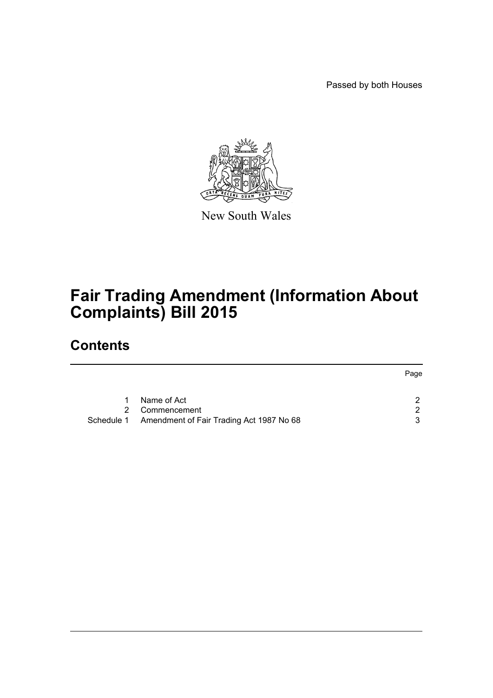Passed by both Houses



New South Wales

# **Fair Trading Amendment (Information About Complaints) Bill 2015**

### **Contents**

|           |                                                     | Page |
|-----------|-----------------------------------------------------|------|
| $1 \quad$ | Name of Act                                         | ົ    |
|           | 2 Commencement                                      | -2.  |
|           | Schedule 1 Amendment of Fair Trading Act 1987 No 68 | 3    |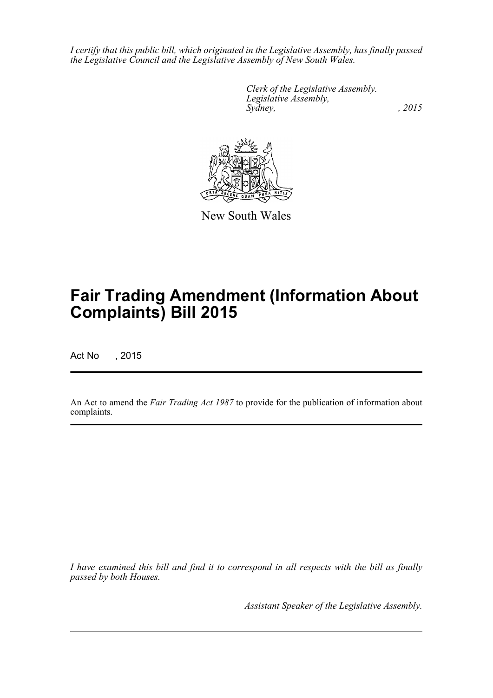*I certify that this public bill, which originated in the Legislative Assembly, has finally passed the Legislative Council and the Legislative Assembly of New South Wales.*

> *Clerk of the Legislative Assembly. Legislative Assembly, Sydney,* , 2015



New South Wales

# **Fair Trading Amendment (Information About Complaints) Bill 2015**

Act No , 2015

An Act to amend the *Fair Trading Act 1987* to provide for the publication of information about complaints.

*I have examined this bill and find it to correspond in all respects with the bill as finally passed by both Houses.*

*Assistant Speaker of the Legislative Assembly.*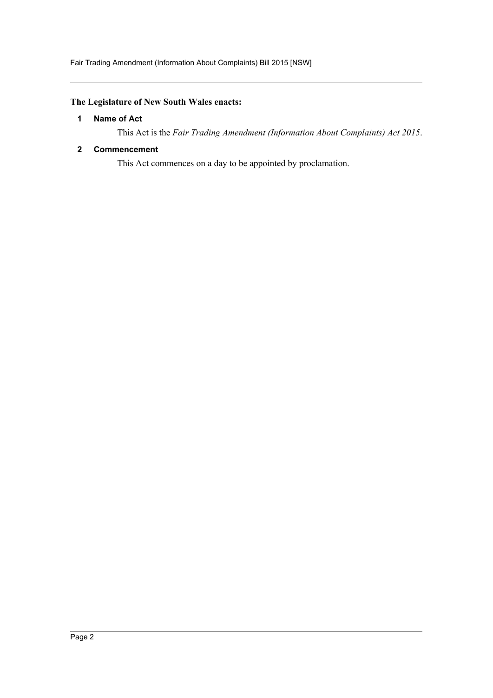#### <span id="page-2-0"></span>**The Legislature of New South Wales enacts:**

#### **1 Name of Act**

This Act is the *Fair Trading Amendment (Information About Complaints) Act 2015*.

#### <span id="page-2-1"></span>**2 Commencement**

This Act commences on a day to be appointed by proclamation.